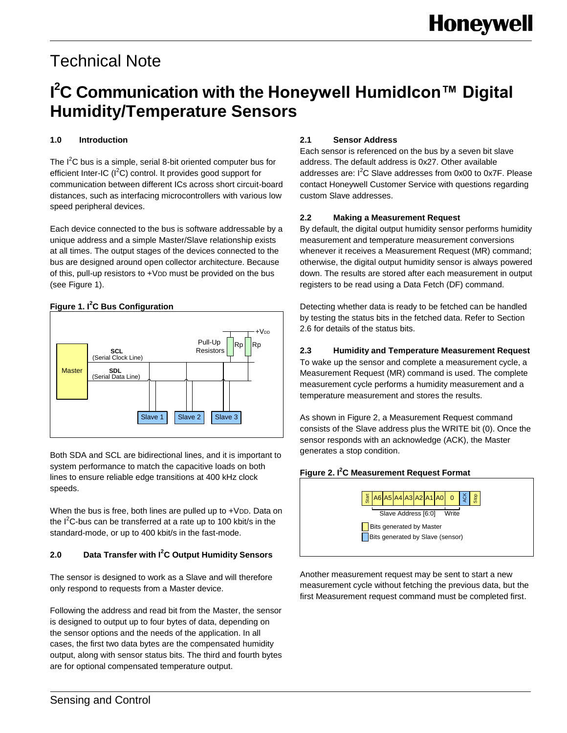# Technical Note

### **I <sup>2</sup>C Communication with the Honeywell HumidIcon™ Digital Humidity/Temperature Sensors**

#### **1.0 Introduction**

The  $I^2C$  bus is a simple, serial 8-bit oriented computer bus for efficient Inter-IC  $(I^2C)$  control. It provides good support for communication between different ICs across short circuit-board distances, such as interfacing microcontrollers with various low speed peripheral devices.

Each device connected to the bus is software addressable by a unique address and a simple Master/Slave relationship exists at all times. The output stages of the devices connected to the bus are designed around open collector architecture. Because of this, pull-up resistors to +VDD must be provided on the bus (see Figure 1).

#### **Figure 1. I <sup>2</sup>C Bus Configuration**



Both SDA and SCL are bidirectional lines, and it is important to system performance to match the capacitive loads on both lines to ensure reliable edge transitions at 400 kHz clock speeds.

When the bus is free, both lines are pulled up to +VDD. Data on the  $I^2C$ -bus can be transferred at a rate up to 100 kbit/s in the standard-mode, or up to 400 kbit/s in the fast-mode.

#### **2.0 Data Transfer with I<sup>2</sup>C Output Humidity Sensors**

The sensor is designed to work as a Slave and will therefore only respond to requests from a Master device.

Following the address and read bit from the Master, the sensor is designed to output up to four bytes of data, depending on the sensor options and the needs of the application. In all cases, the first two data bytes are the compensated humidity output, along with sensor status bits. The third and fourth bytes are for optional compensated temperature output.

#### **2.1 Sensor Address**

Each sensor is referenced on the bus by a seven bit slave address. The default address is 0x27. Other available addresses are:  $I^2C$  Slave addresses from 0x00 to 0x7F. Please contact Honeywell Customer Service with questions regarding custom Slave addresses.

#### **2.2 Making a Measurement Request**

By default, the digital output humidity sensor performs humidity measurement and temperature measurement conversions whenever it receives a Measurement Request (MR) command; otherwise, the digital output humidity sensor is always powered down. The results are stored after each measurement in output registers to be read using a Data Fetch (DF) command.

Detecting whether data is ready to be fetched can be handled by testing the status bits in the fetched data. Refer to Section 2.6 for details of the status bits.

### **2.3 Humidity and Temperature Measurement Request**

To wake up the sensor and complete a measurement cycle, a Measurement Request (MR) command is used. The complete measurement cycle performs a humidity measurement and a temperature measurement and stores the results.

As shown in Figure 2, a Measurement Request command consists of the Slave address plus the WRITE bit (0). Once the sensor responds with an acknowledge (ACK), the Master generates a stop condition.

#### **Figure 2. I <sup>2</sup>C Measurement Request Format**



Another measurement request may be sent to start a new measurement cycle without fetching the previous data, but the first Measurement request command must be completed first.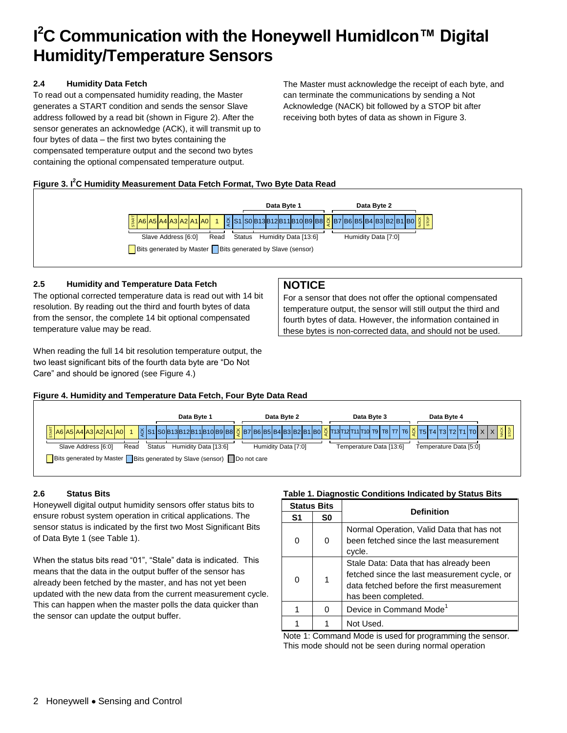## **I <sup>2</sup>C Communication with the Honeywell HumidIcon™ Digital Humidity/Temperature Sensors**

#### **2.4 Humidity Data Fetch**

To read out a compensated humidity reading, the Master generates a START condition and sends the sensor Slave address followed by a read bit (shown in Figure 2). After the sensor generates an acknowledge (ACK), it will transmit up to four bytes of data – the first two bytes containing the compensated temperature output and the second two bytes containing the optional compensated temperature output.

The Master must acknowledge the receipt of each byte, and can terminate the communications by sending a Not Acknowledge (NACK) bit followed by a STOP bit after receiving both bytes of data as shown in Figure 3.

#### **Figure 3. I<sup>2</sup>C Humidity Measurement Data Fetch Format, Two Byte Data Read**



#### **2.5 Humidity and Temperature Data Fetch**

The optional corrected temperature data is read out with 14 bit resolution. By reading out the third and fourth bytes of data from the sensor, the complete 14 bit optional compensated temperature value may be read.

When reading the full 14 bit resolution temperature output, the two least significant bits of the fourth data byte are "Do Not Care" and should be ignored (see Figure 4.)

#### **NOTICE**

For a sensor that does not offer the optional compensated temperature output, the sensor will still output the third and fourth bytes of data. However, the information contained in these bytes is non-corrected data, and should not be used.

#### **Figure 4. Humidity and Temperature Data Fetch, Four Byte Data Read**



#### **2.6 Status Bits**

Honeywell digital output humidity sensors offer status bits to ensure robust system operation in critical applications. The sensor status is indicated by the first two Most Significant Bits of Data Byte 1 (see Table 1).

When the status bits read "01", "Stale" data is indicated. This means that the data in the output buffer of the sensor has already been fetched by the master, and has not yet been updated with the new data from the current measurement cycle. This can happen when the master polls the data quicker than the sensor can update the output buffer.

#### **Table 1. Diagnostic Conditions Indicated by Status Bits**

| <b>Status Bits</b> |    | <b>Definition</b>                                                                                                                                          |
|--------------------|----|------------------------------------------------------------------------------------------------------------------------------------------------------------|
| S1                 | S0 |                                                                                                                                                            |
|                    | 0  | Normal Operation, Valid Data that has not<br>been fetched since the last measurement<br>cycle.                                                             |
| O                  | 1  | Stale Data: Data that has already been<br>fetched since the last measurement cycle, or<br>data fetched before the first measurement<br>has been completed. |
|                    | O  | Device in Command Mode <sup>1</sup>                                                                                                                        |
|                    |    | Not Used.                                                                                                                                                  |

Note 1: Command Mode is used for programming the sensor. This mode should not be seen during normal operation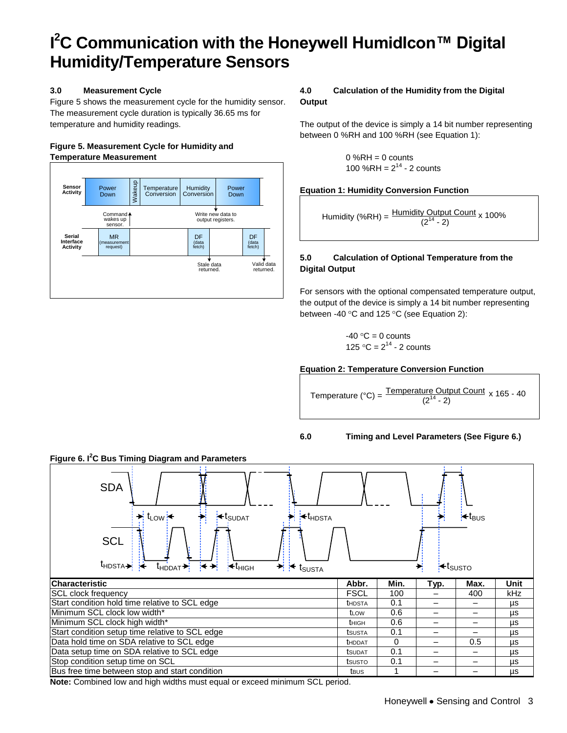## **I <sup>2</sup>C Communication with the Honeywell HumidIcon™ Digital Humidity/Temperature Sensors**

#### **3.0 Measurement Cycle**

Figure 5 shows the measurement cycle for the humidity sensor. The measurement cycle duration is typically 36.65 ms for temperature and humidity readings.

#### **Figure 5. Measurement Cycle for Humidity and Temperature Measurement**



#### **4.0 Calculation of the Humidity from the Digital Output**

The output of the device is simply a 14 bit number representing between 0 %RH and 100 %RH (see Equation 1):

$$
0 %RH = 0
$$
 counts  
100 %RH =  $2^{14}$  - 2 counts

#### **Equation 1: Humidity Conversion Function**

Humidity (%RH) =  $\frac{\text{Humidity Output Count}}{(2^{14} - 8)}$ <u>y Output Count</u> <sub>x 100%</sub><br>(2<sup>14</sup> - 2)

#### **5.0 Calculation of Optional Temperature from the Digital Output**

For sensors with the optional compensated temperature output, the output of the device is simply a 14 bit number representing between -40 $\degree$ C and 125 $\degree$ C (see Equation 2):

-40 °C = 0 counts  
125 °C = 
$$
2^{14}
$$
 - 2 counts

#### **Equation 2: Temperature Conversion Function**

Temperature (°C) =  $\frac{\text{Temperature Output} \text{Count}}{(2)^{14} - 2}$ <u>ure Output Count</u> x 165 - 40<br>(2<sup>14</sup> - 2)

#### **6.0 Timing and Level Parameters (See Figure 6.)**



**Note:** Combined low and high widths must equal or exceed minimum SCL period.